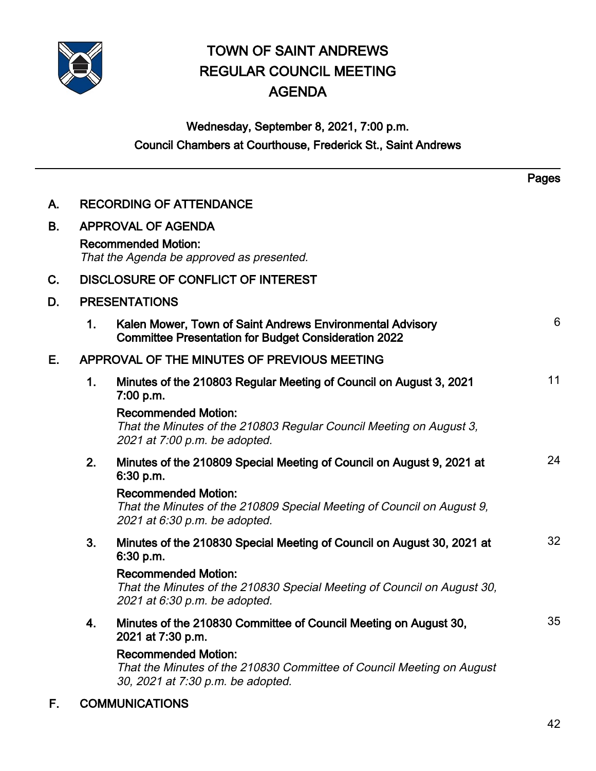

# TOWN OF SAINT ANDREWS REGULAR COUNCIL MEETING AGENDA

# Wednesday, September 8, 2021, 7:00 p.m. Council Chambers at Courthouse, Frederick St., Saint Andrews

|    |                                                                         |                                                                                                                                                                                                                                   | Pages |
|----|-------------------------------------------------------------------------|-----------------------------------------------------------------------------------------------------------------------------------------------------------------------------------------------------------------------------------|-------|
| Α. | <b>RECORDING OF ATTENDANCE</b>                                          |                                                                                                                                                                                                                                   |       |
| В. | <b>APPROVAL OF AGENDA</b>                                               |                                                                                                                                                                                                                                   |       |
|    | <b>Recommended Motion:</b><br>That the Agenda be approved as presented. |                                                                                                                                                                                                                                   |       |
| C. | <b>DISCLOSURE OF CONFLICT OF INTEREST</b>                               |                                                                                                                                                                                                                                   |       |
| D. | <b>PRESENTATIONS</b>                                                    |                                                                                                                                                                                                                                   |       |
|    | 1.                                                                      | Kalen Mower, Town of Saint Andrews Environmental Advisory<br><b>Committee Presentation for Budget Consideration 2022</b>                                                                                                          | 6     |
| Е. | APPROVAL OF THE MINUTES OF PREVIOUS MEETING                             |                                                                                                                                                                                                                                   |       |
|    | 1.                                                                      | Minutes of the 210803 Regular Meeting of Council on August 3, 2021<br>7:00 p.m.                                                                                                                                                   | 11    |
|    |                                                                         | <b>Recommended Motion:</b><br>That the Minutes of the 210803 Regular Council Meeting on August 3,<br>2021 at 7:00 p.m. be adopted.                                                                                                |       |
|    | 2.                                                                      | Minutes of the 210809 Special Meeting of Council on August 9, 2021 at<br>6:30 p.m.                                                                                                                                                | 24    |
|    |                                                                         | <b>Recommended Motion:</b><br>That the Minutes of the 210809 Special Meeting of Council on August 9,<br>2021 at 6:30 p.m. be adopted.                                                                                             |       |
|    | 3.                                                                      | Minutes of the 210830 Special Meeting of Council on August 30, 2021 at<br>6:30 p.m.                                                                                                                                               | 32    |
|    |                                                                         | <b>Recommended Motion:</b><br>That the Minutes of the 210830 Special Meeting of Council on August 30,<br>2021 at 6:30 p.m. be adopted.                                                                                            |       |
|    | 4.                                                                      | Minutes of the 210830 Committee of Council Meeting on August 30,<br>2021 at 7:30 p.m.<br><b>Recommended Motion:</b><br>That the Minutes of the 210830 Committee of Council Meeting on August<br>30, 2021 at 7:30 p.m. be adopted. | 35    |
|    |                                                                         |                                                                                                                                                                                                                                   |       |

F. COMMUNICATIONS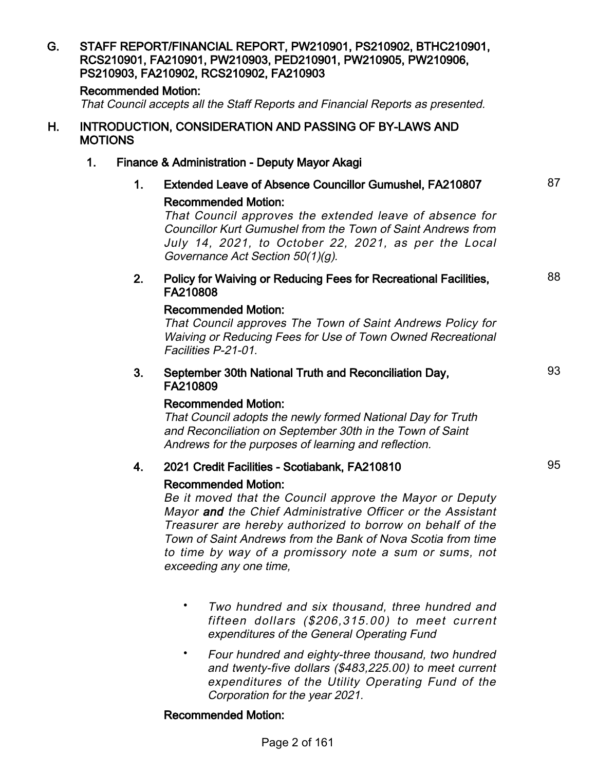### G. STAFF REPORT/FINANCIAL REPORT, PW210901, PS210902, BTHC210901, RCS210901, FA210901, PW210903, PED210901, PW210905, PW210906, PS210903, FA210902, RCS210902, FA210903 Recommended Motion: That Council accepts all the Staff Reports and Financial Reports as presented. H. INTRODUCTION, CONSIDERATION AND PASSING OF BY-LAWS AND MOTIONS 1. Finance & Administration - Deputy Mayor Akagi 1. Extended Leave of Absence Councillor Gumushel, FA210807 87 Recommended Motion: That Council approves the extended leave of absence for Councillor Kurt Gumushel from the Town of Saint Andrews from July 14, 2021, to October 22, 2021, as per the Local Governance Act Section 50(1)(g). 2. Policy for Waiving or Reducing Fees for Recreational Facilities, FA210808 88 Recommended Motion: That Council approves The Town of Saint Andrews Policy for Waiving or Reducing Fees for Use of Town Owned Recreational Facilities P-21-01. 3. September 30th National Truth and Reconciliation Day, FA210809 93 Recommended Motion: That Council adopts the newly formed National Day for Truth and Reconciliation on September 30th in the Town of Saint Andrews for the purposes of learning and reflection. 4. 2021 Credit Facilities - Scotiabank, FA210810 Recommended Motion: Be it moved that the Council approve the Mayor or Deputy Mayor and the Chief Administrative Officer or the Assistant Treasurer are hereby authorized to borrow on behalf of the Town of Saint Andrews from the Bank of Nova Scotia from time to time by way of a promissory note a sum or sums, not exceeding any one time,

- Two hundred and six thousand, three hundred and fifteen dollars (\$206,315.00) to meet current expenditures of the General Operating Fund •
- Four hundred and eighty-three thousand, two hundred and twenty-five dollars (\$483,225.00) to meet current expenditures of the Utility Operating Fund of the Corporation for the year 2021. •

#### Recommended Motion: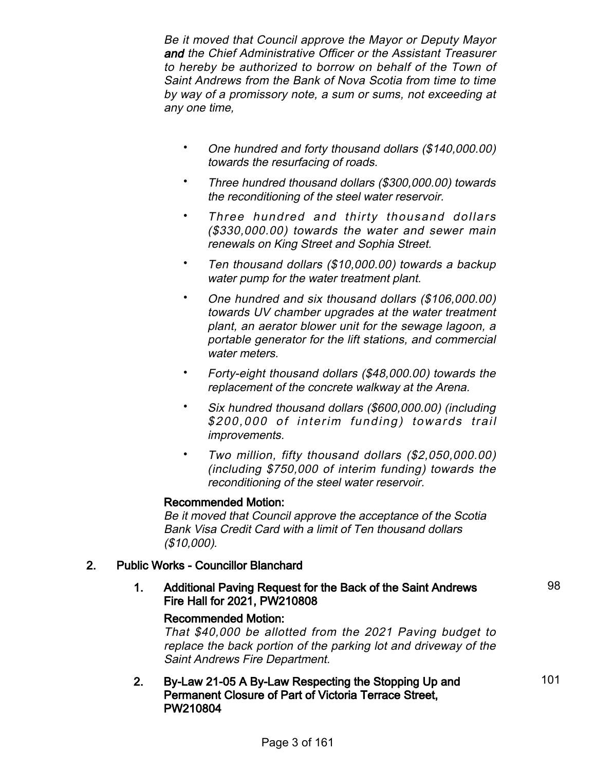Be it moved that Council approve the Mayor or Deputy Mayor and the Chief Administrative Officer or the Assistant Treasurer to hereby be authorized to borrow on behalf of the Town of Saint Andrews from the Bank of Nova Scotia from time to time by way of a promissory note, a sum or sums, not exceeding at any one time,

- One hundred and forty thousand dollars (\$140,000.00) towards the resurfacing of roads. •
- Three hundred thousand dollars (\$300,000.00) towards the reconditioning of the steel water reservoir. •
- Three hundred and thirty thousand dollars (\$330,000.00) towards the water and sewer main renewals on King Street and Sophia Street. •
- Ten thousand dollars (\$10,000.00) towards a backup water pump for the water treatment plant. •
- One hundred and six thousand dollars (\$106,000.00) towards UV chamber upgrades at the water treatment plant, an aerator blower unit for the sewage lagoon, a portable generator for the lift stations, and commercial water meters. •
- Forty-eight thousand dollars (\$48,000.00) towards the replacement of the concrete walkway at the Arena. •
- Six hundred thousand dollars (\$600,000.00) (including \$200,000 of interim funding) towards trail improvements. •
- Two million, fifty thousand dollars (\$2,050,000.00) (including \$750,000 of interim funding) towards the reconditioning of the steel water reservoir. •

## Recommended Motion:

Be it moved that Council approve the acceptance of the Scotia Bank Visa Credit Card with a limit of Ten thousand dollars (\$10,000).

## 2. Public Works - Councillor Blanchard

1. Additional Paving Request for the Back of the Saint Andrews Fire Hall for 2021, PW210808

# Recommended Motion:

That \$40,000 be allotted from the 2021 Paving budget to replace the back portion of the parking lot and driveway of the Saint Andrews Fire Department.

### 2. By-Law 21-05 A By-Law Respecting the Stopping Up and Permanent Closure of Part of Victoria Terrace Street, PW210804

98

101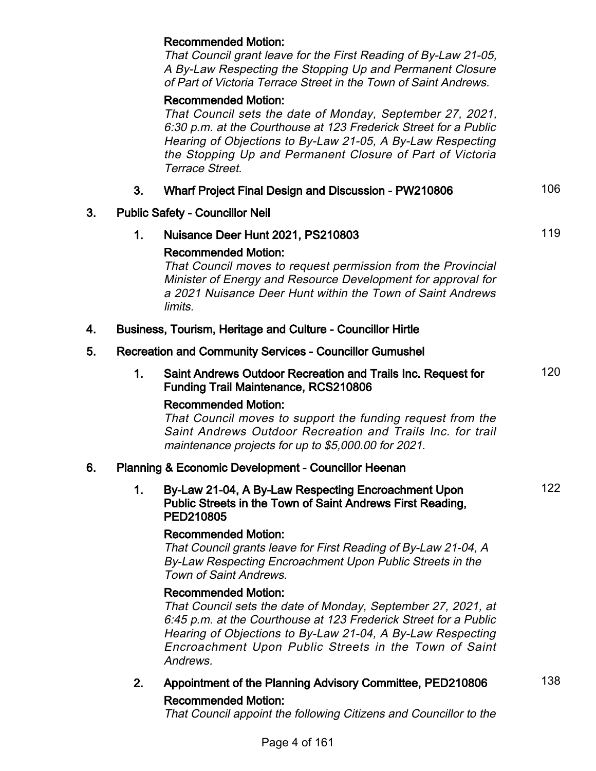#### Recommended Motion:

That Council grant leave for the First Reading of By-Law 21-05, A By-Law Respecting the Stopping Up and Permanent Closure of Part of Victoria Terrace Street in the Town of Saint Andrews.

#### Recommended Motion:

That Council sets the date of Monday, September 27, 2021, 6:30 p.m. at the Courthouse at 123 Frederick Street for a Public Hearing of Objections to By-Law 21-05, A By-Law Respecting the Stopping Up and Permanent Closure of Part of Victoria Terrace Street.

### 3. Wharf Project Final Design and Discussion - PW210806 106

#### 3. Public Safety - Councillor Neil

1. Nuisance Deer Hunt 2021, PS210803

#### Recommended Motion:

That Council moves to request permission from the Provincial Minister of Energy and Resource Development for approval for a 2021 Nuisance Deer Hunt within the Town of Saint Andrews limits.

#### 4. Business, Tourism, Heritage and Culture - Councillor Hirtle

#### 5. Recreation and Community Services - Councillor Gumushel

1. Saint Andrews Outdoor Recreation and Trails Inc. Request for Funding Trail Maintenance, RCS210806

#### Recommended Motion:

That Council moves to support the funding request from the Saint Andrews Outdoor Recreation and Trails Inc. for trail maintenance projects for up to \$5,000.00 for 2021.

#### 6. Planning & Economic Development - Councillor Heenan

#### 1. By-Law 21-04, A By-Law Respecting Encroachment Upon Public Streets in the Town of Saint Andrews First Reading, PED210805

#### Recommended Motion:

That Council grants leave for First Reading of By-Law 21-04, A By-Law Respecting Encroachment Upon Public Streets in the Town of Saint Andrews.

#### Recommended Motion:

That Council sets the date of Monday, September 27, 2021, at 6:45 p.m. at the Courthouse at 123 Frederick Street for a Public Hearing of Objections to By-Law 21-04, A By-Law Respecting Encroachment Upon Public Streets in the Town of Saint **Andrews** 

2. Appointment of the Planning Advisory Committee, PED210806 138 Recommended Motion:

120

122

That Council appoint the following Citizens and Councillor to the